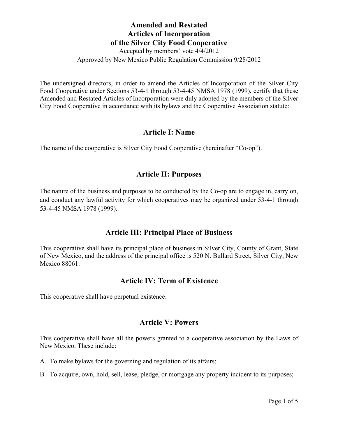Accepted by members' vote 4/4/2012 Approved by New Mexico Public Regulation Commission 9/28/2012

The undersigned directors, in order to amend the Articles of Incorporation of the Silver City Food Cooperative under Sections 53-4-1 through 53-4-45 NMSA 1978 (1999), certify that these Amended and Restated Articles of Incorporation were duly adopted by the members of the Silver City Food Cooperative in accordance with its bylaws and the Cooperative Association statute:

#### **Article I: Name**

The name of the cooperative is Silver City Food Cooperative (hereinafter "Co-op").

### **Article II: Purposes**

The nature of the business and purposes to be conducted by the Co-op are to engage in, carry on, and conduct any lawful activity for which cooperatives may be organized under 53-4-1 through 53-4-45 NMSA 1978 (1999).

### **Article III: Principal Place of Business**

This cooperative shall have its principal place of business in Silver City, County of Grant, State of New Mexico, and the address of the principal office is 520 N. Bullard Street, Silver City, New Mexico 88061.

#### **Article IV: Term of Existence**

This cooperative shall have perpetual existence.

#### **Article V: Powers**

This cooperative shall have all the powers granted to a cooperative association by the Laws of New Mexico. These include:

- A. To make bylaws for the governing and regulation of its affairs;
- B. To acquire, own, hold, sell, lease, pledge, or mortgage any property incident to its purposes;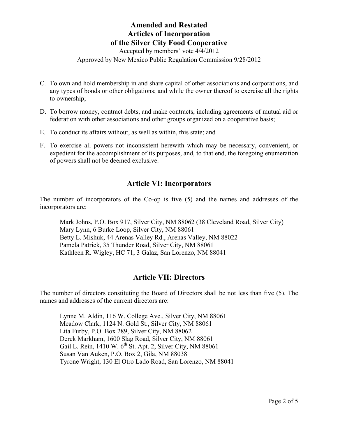Accepted by members' vote 4/4/2012

Approved by New Mexico Public Regulation Commission 9/28/2012

- C. To own and hold membership in and share capital of other associations and corporations, and any types of bonds or other obligations; and while the owner thereof to exercise all the rights to ownership;
- D. To borrow money, contract debts, and make contracts, including agreements of mutual aid or federation with other associations and other groups organized on a cooperative basis;
- E. To conduct its affairs without, as well as within, this state; and
- F. To exercise all powers not inconsistent herewith which may be necessary, convenient, or expedient for the accomplishment of its purposes, and, to that end, the foregoing enumeration of powers shall not be deemed exclusive.

#### **Article VI: Incorporators**

The number of incorporators of the Co-op is five (5) and the names and addresses of the incorporators are:

Mark Johns, P.O. Box 917, Silver City, NM 88062 (38 Cleveland Road, Silver City) Mary Lynn, 6 Burke Loop, Silver City, NM 88061 Betty L. Mishuk, 44 Arenas Valley Rd., Arenas Valley, NM 88022 Pamela Patrick, 35 Thunder Road, Silver City, NM 88061 Kathleen R. Wigley, HC 71, 3 Galaz, San Lorenzo, NM 88041

#### **Article VII: Directors**

The number of directors constituting the Board of Directors shall be not less than five (5). The names and addresses of the current directors are:

Lynne M. Aldin, 116 W. College Ave., Silver City, NM 88061 Meadow Clark, 1124 N. Gold St., Silver City, NM 88061 Lita Furby, P.O. Box 289, Silver City, NM 88062 Derek Markham, 1600 Slag Road, Silver City, NM 88061 Gail L. Rein,  $1410 \text{ W}$ .  $6^{\text{th}}$  St. Apt. 2, Silver City, NM 88061 Susan Van Auken, P.O. Box 2, Gila, NM 88038 Tyrone Wright, 130 El Otro Lado Road, San Lorenzo, NM 88041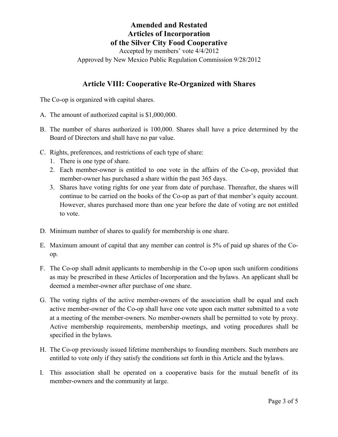Accepted by members' vote 4/4/2012 Approved by New Mexico Public Regulation Commission 9/28/2012

#### **Article VIII: Cooperative Re-Organized with Shares**

The Co-op is organized with capital shares.

- A. The amount of authorized capital is \$1,000,000.
- B. The number of shares authorized is 100,000. Shares shall have a price determined by the Board of Directors and shall have no par value.
- C. Rights, preferences, and restrictions of each type of share:
	- 1. There is one type of share.
	- 2. Each member-owner is entitled to one vote in the affairs of the Co-op, provided that member-owner has purchased a share within the past 365 days.
	- 3. Shares have voting rights for one year from date of purchase. Thereafter, the shares will continue to be carried on the books of the Co-op as part of that member's equity account. However, shares purchased more than one year before the date of voting are not entitled to vote.
- D. Minimum number of shares to qualify for membership is one share.
- E. Maximum amount of capital that any member can control is 5% of paid up shares of the Coop.
- F. The Co-op shall admit applicants to membership in the Co-op upon such uniform conditions as may be prescribed in these Articles of Incorporation and the bylaws. An applicant shall be deemed a member-owner after purchase of one share.
- G. The voting rights of the active member-owners of the association shall be equal and each active member-owner of the Co-op shall have one vote upon each matter submitted to a vote at a meeting of the member-owners. No member-owners shall be permitted to vote by proxy. Active membership requirements, membership meetings, and voting procedures shall be specified in the bylaws.
- H. The Co-op previously issued lifetime memberships to founding members. Such members are entitled to vote only if they satisfy the conditions set forth in this Article and the bylaws.
- I. This association shall be operated on a cooperative basis for the mutual benefit of its member-owners and the community at large.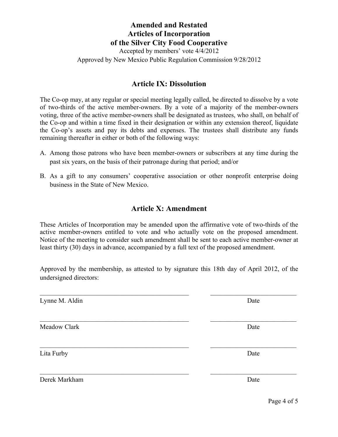Accepted by members' vote 4/4/2012 Approved by New Mexico Public Regulation Commission 9/28/2012

#### **Article IX: Dissolution**

The Co-op may, at any regular or special meeting legally called, be directed to dissolve by a vote of two-thirds of the active member-owners. By a vote of a majority of the member-owners voting, three of the active member-owners shall be designated as trustees, who shall, on behalf of the Co-op and within a time fixed in their designation or within any extension thereof, liquidate the Co-op's assets and pay its debts and expenses. The trustees shall distribute any funds remaining thereafter in either or both of the following ways:

- A. Among those patrons who have been member-owners or subscribers at any time during the past six years, on the basis of their patronage during that period; and/or
- B. As a gift to any consumers' cooperative association or other nonprofit enterprise doing business in the State of New Mexico.

#### **Article X: Amendment**

These Articles of Incorporation may be amended upon the affirmative vote of two-thirds of the active member-owners entitled to vote and who actually vote on the proposed amendment. Notice of the meeting to consider such amendment shall be sent to each active member-owner at least thirty (30) days in advance, accompanied by a full text of the proposed amendment.

Approved by the membership, as attested to by signature this 18th day of April 2012, of the undersigned directors:

 $\_$  , and the contribution of the contribution of  $\mathcal{L}_\mathcal{A}$  , and the contribution of  $\mathcal{L}_\mathcal{A}$ 

 $\mathcal{L}_\text{max} = \frac{1}{2} \sum_{i=1}^n \mathcal{L}_\text{max}(\mathbf{x}_i - \mathbf{y}_i)$ 

 $\_$  , and the contribution of the contribution of  $\mathcal{L}_\mathcal{A}$  , and the contribution of  $\mathcal{L}_\mathcal{A}$ 

 $\mathcal{L}_\text{max} = \frac{1}{2} \sum_{i=1}^n \mathcal{L}_\text{max}(\mathbf{x}_i - \mathbf{y}_i)$ 

Lynne M. Aldin Date

Meadow Clark Date

Lita Furby Date

Derek Markham Date

Page 4 of 5